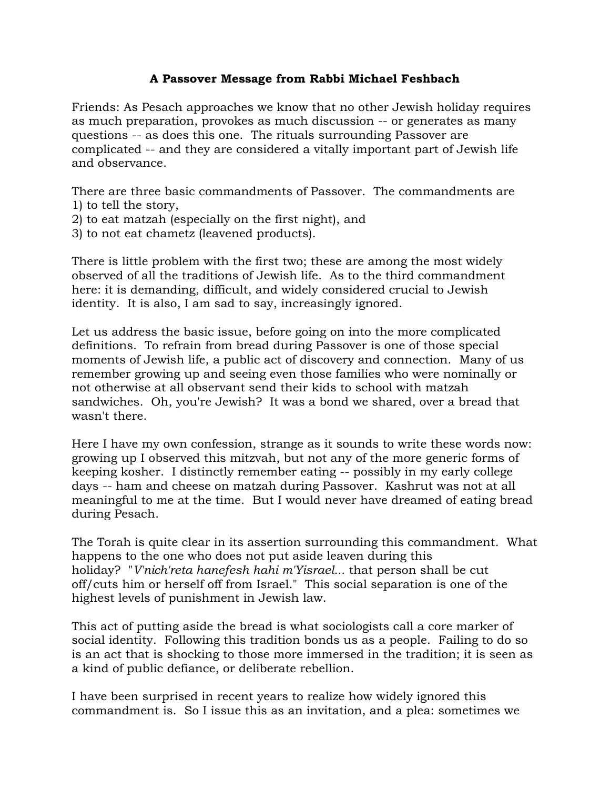## **A Passover Message from Rabbi Michael Feshbach**

Friends: As Pesach approaches we know that no other Jewish holiday requires as much preparation, provokes as much discussion -- or generates as many questions -- as does this one. The rituals surrounding Passover are complicated -- and they are considered a vitally important part of Jewish life and observance.

There are three basic commandments of Passover. The commandments are 1) to tell the story,

- 2) to eat matzah (especially on the first night), and
- 3) to not eat chametz (leavened products).

There is little problem with the first two; these are among the most widely observed of all the traditions of Jewish life. As to the third commandment here: it is demanding, difficult, and widely considered crucial to Jewish identity. It is also, I am sad to say, increasingly ignored.

Let us address the basic issue, before going on into the more complicated definitions. To refrain from bread during Passover is one of those special moments of Jewish life, a public act of discovery and connection. Many of us remember growing up and seeing even those families who were nominally or not otherwise at all observant send their kids to school with matzah sandwiches. Oh, you're Jewish? It was a bond we shared, over a bread that wasn't there.

Here I have my own confession, strange as it sounds to write these words now: growing up I observed this mitzvah, but not any of the more generic forms of keeping kosher. I distinctly remember eating -- possibly in my early college days -- ham and cheese on matzah during Passover. Kashrut was not at all meaningful to me at the time. But I would never have dreamed of eating bread during Pesach.

The Torah is quite clear in its assertion surrounding this commandment. What happens to the one who does not put aside leaven during this holiday? "*V'nich'reta hanefesh hahi m'Yisrael...* that person shall be cut off/cuts him or herself off from Israel." This social separation is one of the highest levels of punishment in Jewish law.

This act of putting aside the bread is what sociologists call a core marker of social identity. Following this tradition bonds us as a people. Failing to do so is an act that is shocking to those more immersed in the tradition; it is seen as a kind of public defiance, or deliberate rebellion.

I have been surprised in recent years to realize how widely ignored this commandment is. So I issue this as an invitation, and a plea: sometimes we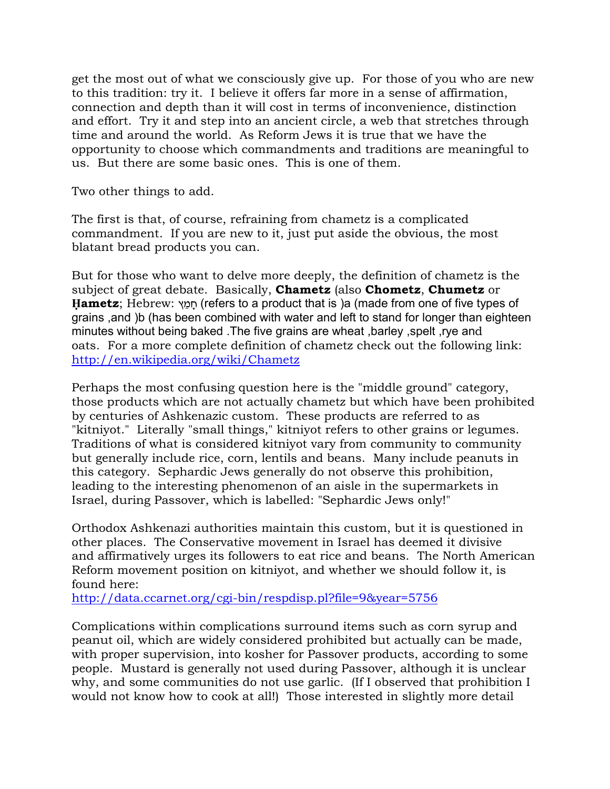get the most out of what we consciously give up. For those of you who are new to this tradition: try it. I believe it offers far more in a sense of affirmation, connection and depth than it will cost in terms of inconvenience, distinction and effort. Try it and step into an ancient circle, a web that stretches through time and around the world. As Reform Jews it is true that we have the opportunity to choose which commandments and traditions are meaningful to us. But there are some basic ones. This is one of them.

Two other things to add.

The first is that, of course, refraining from chametz is a complicated commandment. If you are new to it, just put aside the obvious, the most blatant bread products you can.

But for those who want to delve more deeply, the definition of chametz is the subject of great debate. Basically, **Chametz** (also **Chometz**, **Chumetz** or **Hametz**; [Hebrew:](https://remote.templeshalom.net/owa/redir.aspx?C=df6c9ccdae7b43938ae15b6ff83323bd&URL=http%3a%2f%2fen.wikipedia.org%2fwiki%2fHebrew_language) חַמֵּץ (refers to a product that is )a (made from one of five types of grains, and (b) (has been combined with water and left to stand for longer than eighteen minutes without being baked. The five grains are wheat, barley, spelt, rye and oats. For a more complete definition of chametz check out the following link: [http://en.wikipedia.org/wiki/Chametz](https://remote.templeshalom.net/owa/redir.aspx?C=df6c9ccdae7b43938ae15b6ff83323bd&URL=http%3a%2f%2fen.wikipedia.org%2fwiki%2fChametz)

Perhaps the most confusing question here is the "middle ground" category, those products which are not actually chametz but which have been prohibited by centuries of Ashkenazic custom. These products are referred to as "kitniyot." Literally "small things," kitniyot refers to other grains or legumes. Traditions of what is considered kitniyot vary from community to community but generally include rice, corn, lentils and beans. Many include peanuts in this category. Sephardic Jews generally do not observe this prohibition, leading to the interesting phenomenon of an aisle in the supermarkets in Israel, during Passover, which is labelled: "Sephardic Jews only!"

Orthodox Ashkenazi authorities maintain this custom, but it is questioned in other places. The Conservative movement in Israel has deemed it divisive and affirmatively urges its followers to eat rice and beans. The North American Reform movement position on kitniyot, and whether we should follow it, is found here:

[http://data.ccarnet.org/cgi-bin/respdisp.pl?file=9&year=5756](https://remote.templeshalom.net/owa/redir.aspx?C=df6c9ccdae7b43938ae15b6ff83323bd&URL=http%3a%2f%2fdata.ccarnet.org%2fcgi-bin%2frespdisp.pl%3ffile%3d9%26year%3d5756)

Complications within complications surround items such as corn syrup and peanut oil, which are widely considered prohibited but actually can be made, with proper supervision, into kosher for Passover products, according to some people. Mustard is generally not used during Passover, although it is unclear why, and some communities do not use garlic. (If I observed that prohibition I would not know how to cook at all!) Those interested in slightly more detail